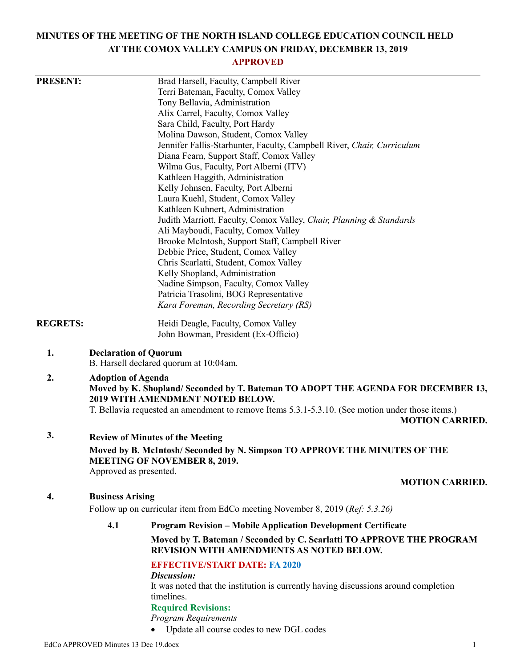# **MINUTES OF THE MEETING OF THE NORTH ISLAND COLLEGE EDUCATION COUNCIL HELD AT THE COMOX VALLEY CAMPUS ON FRIDAY, DECEMBER 13, 2019**

## **APPROVED**

| <b>PRESENT:</b> |                                                                                                                                                                                                                                                                                        | Brad Harsell, Faculty, Campbell River                                                                             |                        |  |
|-----------------|----------------------------------------------------------------------------------------------------------------------------------------------------------------------------------------------------------------------------------------------------------------------------------------|-------------------------------------------------------------------------------------------------------------------|------------------------|--|
|                 | Terri Bateman, Faculty, Comox Valley<br>Tony Bellavia, Administration                                                                                                                                                                                                                  |                                                                                                                   |                        |  |
|                 |                                                                                                                                                                                                                                                                                        |                                                                                                                   |                        |  |
|                 |                                                                                                                                                                                                                                                                                        | Alix Carrel, Faculty, Comox Valley<br>Sara Child, Faculty, Port Hardy                                             |                        |  |
|                 |                                                                                                                                                                                                                                                                                        |                                                                                                                   |                        |  |
|                 | Molina Dawson, Student, Comox Valley                                                                                                                                                                                                                                                   |                                                                                                                   |                        |  |
|                 | Jennifer Fallis-Starhunter, Faculty, Campbell River, Chair, Curriculum                                                                                                                                                                                                                 |                                                                                                                   |                        |  |
|                 | Diana Fearn, Support Staff, Comox Valley                                                                                                                                                                                                                                               |                                                                                                                   |                        |  |
|                 | Wilma Gus, Faculty, Port Alberni (ITV)                                                                                                                                                                                                                                                 |                                                                                                                   |                        |  |
|                 | Kathleen Haggith, Administration<br>Kelly Johnsen, Faculty, Port Alberni<br>Laura Kuehl, Student, Comox Valley<br>Kathleen Kuhnert, Administration                                                                                                                                     |                                                                                                                   |                        |  |
|                 |                                                                                                                                                                                                                                                                                        |                                                                                                                   |                        |  |
|                 |                                                                                                                                                                                                                                                                                        |                                                                                                                   |                        |  |
|                 |                                                                                                                                                                                                                                                                                        |                                                                                                                   |                        |  |
|                 | Judith Marriott, Faculty, Comox Valley, Chair, Planning & Standards                                                                                                                                                                                                                    |                                                                                                                   |                        |  |
|                 | Ali Mayboudi, Faculty, Comox Valley<br>Brooke McIntosh, Support Staff, Campbell River<br>Debbie Price, Student, Comox Valley<br>Chris Scarlatti, Student, Comox Valley                                                                                                                 |                                                                                                                   |                        |  |
|                 |                                                                                                                                                                                                                                                                                        |                                                                                                                   |                        |  |
|                 |                                                                                                                                                                                                                                                                                        |                                                                                                                   |                        |  |
|                 |                                                                                                                                                                                                                                                                                        |                                                                                                                   |                        |  |
|                 | Kelly Shopland, Administration                                                                                                                                                                                                                                                         |                                                                                                                   |                        |  |
|                 | Nadine Simpson, Faculty, Comox Valley                                                                                                                                                                                                                                                  |                                                                                                                   |                        |  |
|                 | Patricia Trasolini, BOG Representative                                                                                                                                                                                                                                                 |                                                                                                                   |                        |  |
|                 | Kara Foreman, Recording Secretary (RS)                                                                                                                                                                                                                                                 |                                                                                                                   |                        |  |
| <b>REGRETS:</b> | Heidi Deagle, Faculty, Comox Valley                                                                                                                                                                                                                                                    |                                                                                                                   |                        |  |
|                 |                                                                                                                                                                                                                                                                                        | John Bowman, President (Ex-Officio)                                                                               |                        |  |
| 1.              | <b>Declaration of Quorum</b><br>B. Harsell declared quorum at 10:04am.                                                                                                                                                                                                                 |                                                                                                                   |                        |  |
| 2.              | <b>Adoption of Agenda</b><br>Moved by K. Shopland/Seconded by T. Bateman TO ADOPT THE AGENDA FOR DECEMBER 13,<br><b>2019 WITH AMENDMENT NOTED BELOW.</b><br>T. Bellavia requested an amendment to remove Items 5.3.1-5.3.10. (See motion under those items.)<br><b>MOTION CARRIED.</b> |                                                                                                                   |                        |  |
|                 |                                                                                                                                                                                                                                                                                        |                                                                                                                   |                        |  |
| 3.              |                                                                                                                                                                                                                                                                                        | <b>Review of Minutes of the Meeting</b>                                                                           |                        |  |
|                 | Moved by B. McIntosh/Seconded by N. Simpson TO APPROVE THE MINUTES OF THE<br><b>MEETING OF NOVEMBER 8, 2019.</b>                                                                                                                                                                       |                                                                                                                   |                        |  |
|                 | Approved as presented.                                                                                                                                                                                                                                                                 |                                                                                                                   | <b>MOTION CARRIED.</b> |  |
|                 |                                                                                                                                                                                                                                                                                        |                                                                                                                   |                        |  |
| 4.              | <b>Business Arising</b>                                                                                                                                                                                                                                                                |                                                                                                                   |                        |  |
|                 | Follow up on curricular item from EdCo meeting November 8, 2019 (Ref: 5.3.26)                                                                                                                                                                                                          |                                                                                                                   |                        |  |
|                 | 4.1                                                                                                                                                                                                                                                                                    | <b>Program Revision - Mobile Application Development Certificate</b>                                              |                        |  |
|                 |                                                                                                                                                                                                                                                                                        | Moved by T. Bateman / Seconded by C. Scarlatti TO APPROVE THE PROGRAM<br>REVISION WITH AMENDMENTS AS NOTED BELOW. |                        |  |
|                 |                                                                                                                                                                                                                                                                                        | <b>EFFECTIVE/START DATE: FA 2020</b>                                                                              |                        |  |
|                 |                                                                                                                                                                                                                                                                                        | Discussion:                                                                                                       |                        |  |
|                 |                                                                                                                                                                                                                                                                                        | It was noted that the institution is currently having discussions around completion                               |                        |  |
|                 |                                                                                                                                                                                                                                                                                        | timelines.                                                                                                        |                        |  |
|                 |                                                                                                                                                                                                                                                                                        | <b>Required Revisions:</b>                                                                                        |                        |  |
|                 |                                                                                                                                                                                                                                                                                        | <b>Program Requirements</b>                                                                                       |                        |  |
|                 |                                                                                                                                                                                                                                                                                        | • Update all course codes to new DGL codes                                                                        |                        |  |

EdCo APPROVED Minutes 13 Dec 19.docx 1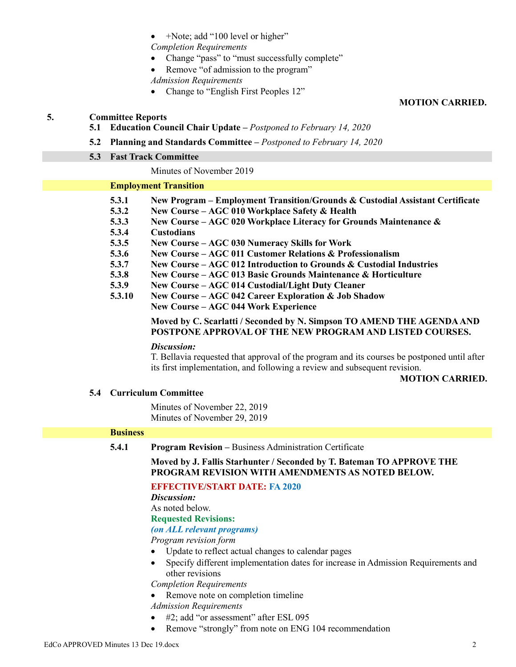• +Note; add "100 level or higher"

*Completion Requirements*

- Change "pass" to "must successfully complete"
- Remove "of admission to the program"
- *Admission Requirements*
- Change to "English First Peoples 12"

## **MOTION CARRIED.**

#### **5. Committee Reports**

- **5.1 Education Council Chair Update –** *Postponed to February 14, 2020*
- **5.2 Planning and Standards Committee –** *Postponed to February 14, 2020*

#### **5.3 Fast Track Committee**

#### Minutes of November 2019

#### **Employment Transition**

- **5.3.1 New Program – Employment Transition/Grounds & Custodial Assistant Certificate**
- **5.3.2 New Course – AGC 010 Workplace Safety & Health**
- **5.3.3 New Course – AGC 020 Workplace Literacy for Grounds Maintenance &**
- **5.3.4 Custodians**
- **5.3.5 New Course – AGC 030 Numeracy Skills for Work**
- **5.3.6 New Course – AGC 011 Customer Relations & Professionalism**
- **5.3.7 New Course – AGC 012 Introduction to Grounds & Custodial Industries**
- **5.3.8 New Course – AGC 013 Basic Grounds Maintenance & Horticulture**
- **5.3.9 New Course – AGC 014 Custodial/Light Duty Cleaner**
- **5.3.10 New Course – AGC 042 Career Exploration & Job Shadow New Course – AGC 044 Work Experience**

## **Moved by C. Scarlatti / Seconded by N. Simpson TO AMEND THE AGENDA AND POSTPONE APPROVAL OF THE NEW PROGRAM AND LISTED COURSES.**

#### *Discussion:*

T. Bellavia requested that approval of the program and its courses be postponed until after its first implementation, and following a review and subsequent revision.

#### **MOTION CARRIED.**

## **5.4 Curriculum Committee**

Minutes of November 22, 2019 Minutes of November 29, 2019

#### **Business**

**5.4.1 Program Revision –** Business Administration Certificate

**Moved by J. Fallis Starhunter / Seconded by T. Bateman TO APPROVE THE PROGRAM REVISION WITH AMENDMENTS AS NOTED BELOW.**

## **EFFECTIVE/START DATE: FA 2020**

*Discussion:*

As noted below.

**Requested Revisions:**

#### *(on ALL relevant programs)*

*Program revision form*

- Update to reflect actual changes to calendar pages
- Specify different implementation dates for increase in Admission Requirements and other revisions

*Completion Requirements*

• Remove note on completion timeline

*Admission Requirements*

- #2; add "or assessment" after ESL 095
- Remove "strongly" from note on ENG 104 recommendation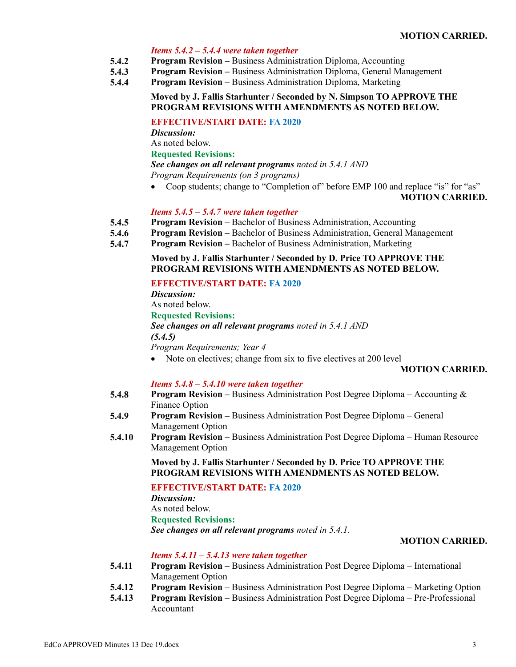#### **MOTION CARRIED.**

#### *Items 5.4.2 – 5.4.4 were taken together*

- **5.4.2 Program Revision –** Business Administration Diploma, Accounting
- **5.4.3 Program Revision –** Business Administration Diploma, General Management
- **5.4.4 Program Revision –** Business Administration Diploma, Marketing

#### **Moved by J. Fallis Starhunter / Seconded by N. Simpson TO APPROVE THE PROGRAM REVISIONS WITH AMENDMENTS AS NOTED BELOW.**

## **EFFECTIVE/START DATE: FA 2020**

*Discussion:*

As noted below.

**Requested Revisions:**

*See changes on all relevant programs noted in 5.4.1 AND*

*Program Requirements (on 3 programs)*

• Coop students; change to "Completion of" before EMP 100 and replace "is" for "as"

## **MOTION CARRIED.**

#### *Items 5.4.5 – 5.4.7 were taken together*

- **5.4.5 Program Revision –** Bachelor of Business Administration, Accounting
- **5.4.6 Program Revision –** Bachelor of Business Administration, General Management
- **5.4.7 Program Revision –** Bachelor of Business Administration, Marketing

#### **Moved by J. Fallis Starhunter / Seconded by D. Price TO APPROVE THE PROGRAM REVISIONS WITH AMENDMENTS AS NOTED BELOW.**

#### **EFFECTIVE/START DATE: FA 2020**

*Discussion:* As noted below. **Requested Revisions:** *See changes on all relevant programs noted in 5.4.1 AND (5.4.5) Program Requirements; Year 4*

• Note on electives; change from six to five electives at 200 level

#### **MOTION CARRIED.**

#### *Items 5.4.8 – 5.4.10 were taken together*

- **5.4.8 Program Revision –** Business Administration Post Degree Diploma – Accounting & Finance Option
- **5.4.9 Program Revision –** Business Administration Post Degree Diploma – General Management Option
- **5.4.10 Program Revision –** Business Administration Post Degree Diploma – Human Resource Management Option

**Moved by J. Fallis Starhunter / Seconded by D. Price TO APPROVE THE PROGRAM REVISIONS WITH AMENDMENTS AS NOTED BELOW.**

#### **EFFECTIVE/START DATE: FA 2020**

*Discussion:* As noted below. **Requested Revisions:** *See changes on all relevant programs noted in 5.4.1.*

#### **MOTION CARRIED.**

#### *Items 5.4.11 – 5.4.13 were taken together*

- **5.4.11 Program Revision –** Business Administration Post Degree Diploma – International Management Option
- **5.4.12 Program Revision –** Business Administration Post Degree Diploma – Marketing Option
- **5.4.13 Program Revision –** Business Administration Post Degree Diploma – Pre-Professional Accountant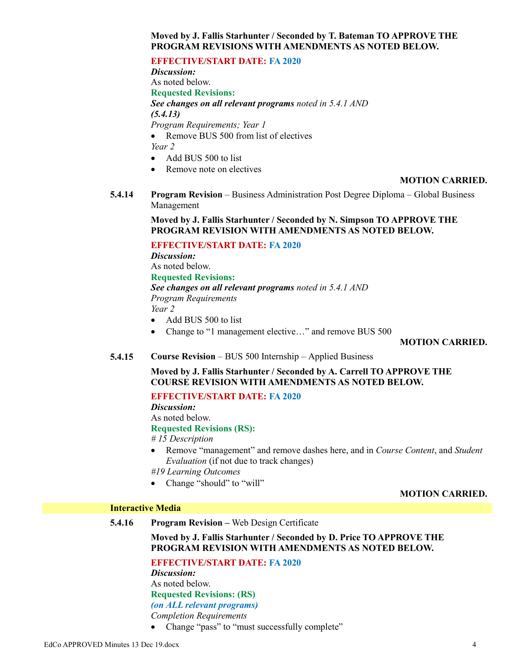## **Moved by J. Fallis Starhunter / Seconded by T. Bateman TO APPROVE THE PROGRAM REVISIONS WITH AMENDMENTS AS NOTED BELOW.**

#### **EFFECTIVE/START DATE: FA 2020**

*Discussion:* As noted below. **Requested Revisions:** *See changes on all relevant programs noted in 5.4.1 AND (5.4.13) Program Requirements; Year 1* • Remove BUS 500 from list of electives

*Year 2*

- Add BUS 500 to list
- Remove note on electives

#### **MOTION CARRIED.**

**5.4.14 Program Revision** – Business Administration Post Degree Diploma – Global Business Management

> **Moved by J. Fallis Starhunter / Seconded by N. Simpson TO APPROVE THE PROGRAM REVISION WITH AMENDMENTS AS NOTED BELOW.**

#### **EFFECTIVE/START DATE: FA 2020**

*Discussion:* As noted below. **Requested Revisions:** *See changes on all relevant programs noted in 5.4.1 AND Program Requirements Year 2*

- Add BUS 500 to list
- Change to "1 management elective..." and remove BUS 500

#### **MOTION CARRIED.**

**5.4.15 Course Revision** – BUS 500 Internship – Applied Business

**Moved by J. Fallis Starhunter / Seconded by A. Carrell TO APPROVE THE COURSE REVISION WITH AMENDMENTS AS NOTED BELOW.**

#### **EFFECTIVE/START DATE: FA 2020**

*Discussion:*

As noted below. **Requested Revisions (RS):**

*# 15 Description*

 Remove "management" and remove dashes here, and in *Course Content*, and *Student Evaluation* (if not due to track changes)

*#19 Learning Outcomes*

• Change "should" to "will"

#### **MOTION CARRIED.**

#### **Interactive Media**

**5.4.16 Program Revision –** Web Design Certificate

## **Moved by J. Fallis Starhunter / Seconded by D. Price TO APPROVE THE PROGRAM REVISION WITH AMENDMENTS AS NOTED BELOW.**

**EFFECTIVE/START DATE: FA 2020**

*Discussion:* As noted below.

**Requested Revisions: (RS)**

*(on ALL relevant programs)*

*Completion Requirements*

• Change "pass" to "must successfully complete"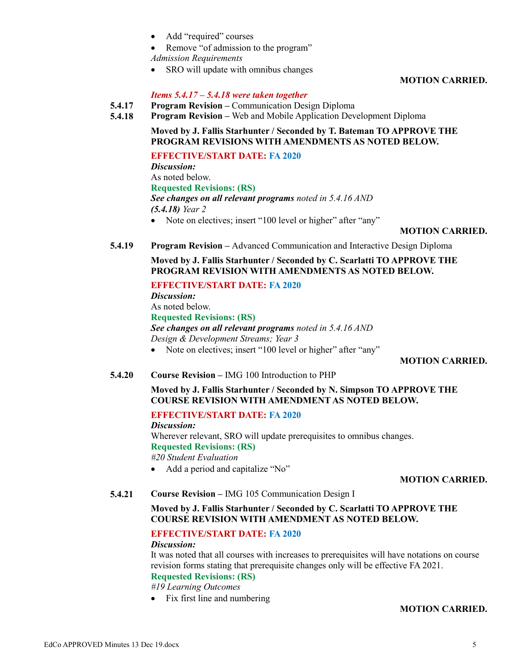- Add "required" courses
- Remove "of admission to the program"

*Admission Requirements*

• SRO will update with omnibus changes

**MOTION CARRIED.**

#### *Items 5.4.17 – 5.4.18 were taken together*

- **5.4.17 Program Revision –** Communication Design Diploma
- **5.4.18 Program Revision –** Web and Mobile Application Development Diploma

**Moved by J. Fallis Starhunter / Seconded by T. Bateman TO APPROVE THE PROGRAM REVISIONS WITH AMENDMENTS AS NOTED BELOW.**

**EFFECTIVE/START DATE: FA 2020**

*Discussion:* As noted below. **Requested Revisions: (RS)** *See changes on all relevant programs noted in 5.4.16 AND (5.4.18) Year 2* • Note on electives; insert "100 level or higher" after "any"

#### **MOTION CARRIED.**

**5.4.19 Program Revision –** Advanced Communication and Interactive Design Diploma

**Moved by J. Fallis Starhunter / Seconded by C. Scarlatti TO APPROVE THE PROGRAM REVISION WITH AMENDMENTS AS NOTED BELOW.**

#### **EFFECTIVE/START DATE: FA 2020**

*Discussion:* As noted below. **Requested Revisions: (RS)** *See changes on all relevant programs noted in 5.4.16 AND Design & Development Streams; Year 3*

• Note on electives; insert "100 level or higher" after "any"

## **MOTION CARRIED.**

**5.4.20 Course Revision –** IMG 100 Introduction to PHP

## **Moved by J. Fallis Starhunter / Seconded by N. Simpson TO APPROVE THE COURSE REVISION WITH AMENDMENT AS NOTED BELOW.**

## **EFFECTIVE/START DATE: FA 2020**

*Discussion:* Wherever relevant, SRO will update prerequisites to omnibus changes. **Requested Revisions: (RS)**

*#20 Student Evaluation*

• Add a period and capitalize "No"

#### **MOTION CARRIED.**

**5.4.21 Course Revision –** IMG 105 Communication Design I

## **Moved by J. Fallis Starhunter / Seconded by C. Scarlatti TO APPROVE THE COURSE REVISION WITH AMENDMENT AS NOTED BELOW.**

## **EFFECTIVE/START DATE: FA 2020**

#### *Discussion:*

It was noted that all courses with increases to prerequisites will have notations on course revision forms stating that prerequisite changes only will be effective FA 2021.

## **Requested Revisions: (RS)**

*#19 Learning Outcomes*

• Fix first line and numbering

## **MOTION CARRIED.**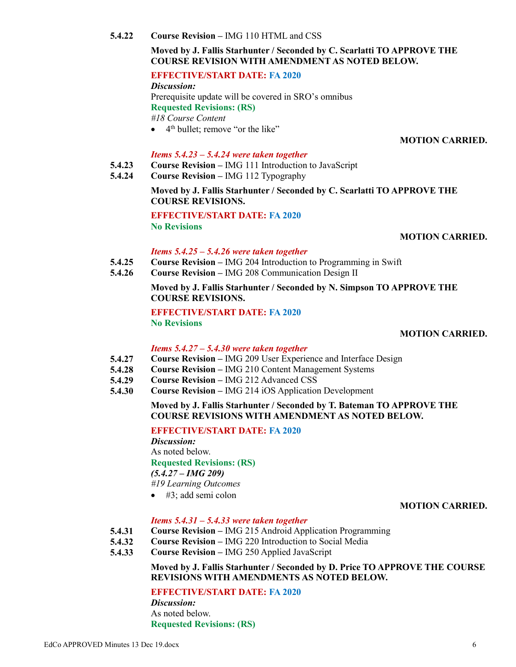*Discussion:*

As noted below. **Requested Revisions: (RS)**

## **5.4.22 Course Revision –** IMG 110 HTML and CSS

## **Moved by J. Fallis Starhunter / Seconded by C. Scarlatti TO APPROVE THE COURSE REVISION WITH AMENDMENT AS NOTED BELOW.**

## **EFFECTIVE/START DATE: FA 2020**

*Discussion:* Prerequisite update will be covered in SRO's omnibus **Requested Revisions: (RS)** *#18 Course Content*

 $\bullet$  4<sup>th</sup> bullet; remove "or the like"

## **MOTION CARRIED.**

## *Items 5.4.23 – 5.4.24 were taken together*

- **5.4.23 Course Revision –** IMG 111 Introduction to JavaScript
- **5.4.24 Course Revision –** IMG 112 Typography

## **Moved by J. Fallis Starhunter / Seconded by C. Scarlatti TO APPROVE THE COURSE REVISIONS.**

**EFFECTIVE/START DATE: FA 2020 No Revisions**

## **MOTION CARRIED.**

## *Items 5.4.25 – 5.4.26 were taken together*

- **5.4.25 Course Revision –** IMG 204 Introduction to Programming in Swift
- **5.4.26 Course Revision –** IMG 208 Communication Design II

**Moved by J. Fallis Starhunter / Seconded by N. Simpson TO APPROVE THE COURSE REVISIONS.**

**EFFECTIVE/START DATE: FA 2020 No Revisions**

## **MOTION CARRIED.**

## *Items 5.4.27 – 5.4.30 were taken together*

- **5.4.27 Course Revision –** IMG 209 User Experience and Interface Design
- **5.4.28 Course Revision –** IMG 210 Content Management Systems
- **5.4.29 Course Revision –** IMG 212 Advanced CSS
- **5.4.30 Course Revision –** IMG 214 iOS Application Development

## **Moved by J. Fallis Starhunter / Seconded by T. Bateman TO APPROVE THE COURSE REVISIONS WITH AMENDMENT AS NOTED BELOW.**

## **EFFECTIVE/START DATE: FA 2020**

*Discussion:* As noted below. **Requested Revisions: (RS)** *(5.4.27 – IMG 209)*

*#19 Learning Outcomes*

#3; add semi colon

## **MOTION CARRIED.**

## *Items 5.4.31 – 5.4.33 were taken together*

- **5.4.31 Course Revision –** IMG 215 Android Application Programming
- **5.4.32 Course Revision –** IMG 220 Introduction to Social Media
- **5.4.33 Course Revision –** IMG 250 Applied JavaScript

## **Moved by J. Fallis Starhunter / Seconded by D. Price TO APPROVE THE COURSE REVISIONS WITH AMENDMENTS AS NOTED BELOW.**

## **EFFECTIVE/START DATE: FA 2020**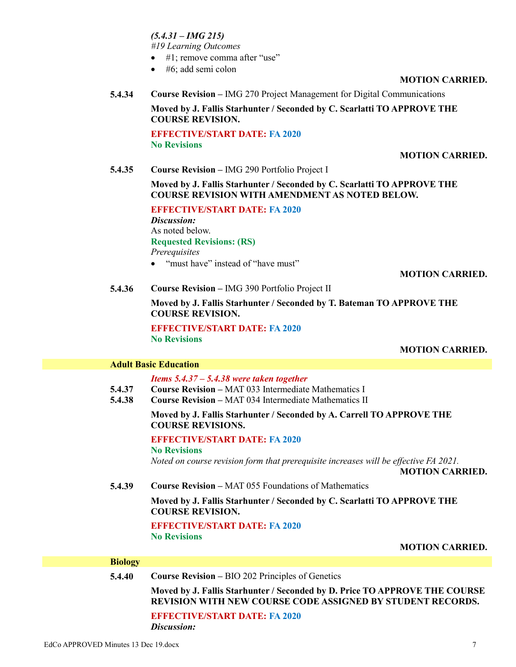*(5.4.31 – IMG 215)*

*#19 Learning Outcomes*

- #1; remove comma after "use"
- $\bullet$  #6; add semi colon

#### **MOTION CARRIED.**

**5.4.34 Course Revision –** IMG 270 Project Management for Digital Communications

**Moved by J. Fallis Starhunter / Seconded by C. Scarlatti TO APPROVE THE COURSE REVISION.**

**EFFECTIVE/START DATE: FA 2020 No Revisions**

#### **MOTION CARRIED.**

**5.4.35 Course Revision –** IMG 290 Portfolio Project I

**Moved by J. Fallis Starhunter / Seconded by C. Scarlatti TO APPROVE THE COURSE REVISION WITH AMENDMENT AS NOTED BELOW.**

**EFFECTIVE/START DATE: FA 2020** *Discussion:* As noted below. **Requested Revisions: (RS)** *Prerequisites*

• "must have" instead of "have must"

#### **MOTION CARRIED.**

**5.4.36 Course Revision –** IMG 390 Portfolio Project II

**Moved by J. Fallis Starhunter / Seconded by T. Bateman TO APPROVE THE COURSE REVISION.**

**EFFECTIVE/START DATE: FA 2020 No Revisions**

#### **MOTION CARRIED.**

#### **Adult Basic Education**

*Items 5.4.37 – 5.4.38 were taken together*

- **5.4.37 Course Revision –** MAT 033 Intermediate Mathematics I
- **5.4.38 Course Revision –** MAT 034 Intermediate Mathematics II

#### **Moved by J. Fallis Starhunter / Seconded by A. Carrell TO APPROVE THE COURSE REVISIONS.**

#### **EFFECTIVE/START DATE: FA 2020**

**No Revisions**

*Noted on course revision form that prerequisite increases will be effective FA 2021.*

**MOTION CARRIED.**

**5.4.39 Course Revision –** MAT 055 Foundations of Mathematics

**Moved by J. Fallis Starhunter / Seconded by C. Scarlatti TO APPROVE THE COURSE REVISION.**

**EFFECTIVE/START DATE: FA 2020 No Revisions**

**MOTION CARRIED.**

#### **Biology**

| 5.4.40 | <b>Course Revision – BIO 202 Principles of Genetics</b>                                                                                         |  |  |  |
|--------|-------------------------------------------------------------------------------------------------------------------------------------------------|--|--|--|
|        | Moved by J. Fallis Starhunter / Seconded by D. Price TO APPROVE THE COURSE<br><b>REVISION WITH NEW COURSE CODE ASSIGNED BY STUDENT RECORDS.</b> |  |  |  |
|        | <b>EFFECTIVE/START DATE: FA 2020</b>                                                                                                            |  |  |  |
|        | Discussion:                                                                                                                                     |  |  |  |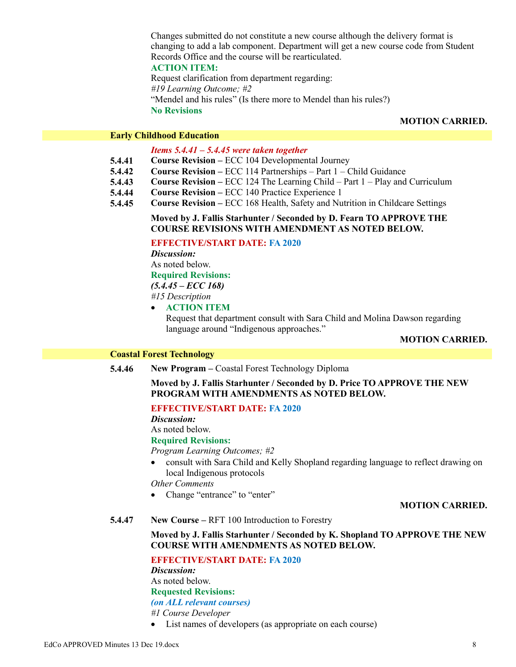Changes submitted do not constitute a new course although the delivery format is changing to add a lab component. Department will get a new course code from Student Records Office and the course will be rearticulated.

**ACTION ITEM:**

Request clarification from department regarding: *#19 Learning Outcome; #2* "Mendel and his rules" (Is there more to Mendel than his rules?) **No Revisions**

## **MOTION CARRIED.**

#### **Early Childhood Education**

## *Items 5.4.41 – 5.4.45 were taken together*

- **5.4.41 Course Revision –** ECC 104 Developmental Journey
- **5.4.42 Course Revision –** ECC 114 Partnerships – Part 1 – Child Guidance
- **5.4.43 Course Revision –** ECC 124 The Learning Child – Part 1 – Play and Curriculum
- **5.4.44 Course Revision –** ECC 140 Practice Experience 1
- **5.4.45 Course Revision –** ECC 168 Health, Safety and Nutrition in Childcare Settings

#### **Moved by J. Fallis Starhunter / Seconded by D. Fearn TO APPROVE THE COURSE REVISIONS WITH AMENDMENT AS NOTED BELOW.**

## **EFFECTIVE/START DATE: FA 2020**

*Discussion:* As noted below. **Required Revisions:** *(5.4.45 – ECC 168) #15 Description*

## **ACTION ITEM**

Request that department consult with Sara Child and Molina Dawson regarding language around "Indigenous approaches."

## **MOTION CARRIED.**

## **Coastal Forest Technology**

**5.4.46 New Program –** Coastal Forest Technology Diploma

## **Moved by J. Fallis Starhunter / Seconded by D. Price TO APPROVE THE NEW PROGRAM WITH AMENDMENTS AS NOTED BELOW.**

## **EFFECTIVE/START DATE: FA 2020**

*Discussion:*

As noted below.

#### **Required Revisions:**

*Program Learning Outcomes; #2*

 consult with Sara Child and Kelly Shopland regarding language to reflect drawing on local Indigenous protocols

*Other Comments*

• Change "entrance" to "enter"

#### **MOTION CARRIED.**

**5.4.47 New Course –** RFT 100 Introduction to Forestry

## **Moved by J. Fallis Starhunter / Seconded by K. Shopland TO APPROVE THE NEW COURSE WITH AMENDMENTS AS NOTED BELOW.**

**EFFECTIVE/START DATE: FA 2020**

*Discussion:* As noted below.

**Requested Revisions:**

#### *(on ALL relevant courses)*

*#1 Course Developer*

List names of developers (as appropriate on each course)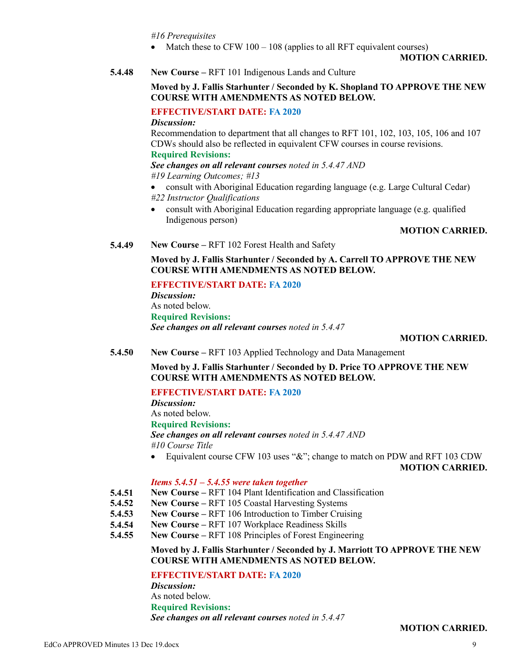*#16 Prerequisites*

• Match these to CFW  $100 - 108$  (applies to all RFT equivalent courses)

#### **MOTION CARRIED.**

**5.4.48 New Course –** RFT 101 Indigenous Lands and Culture

## **Moved by J. Fallis Starhunter / Seconded by K. Shopland TO APPROVE THE NEW COURSE WITH AMENDMENTS AS NOTED BELOW.**

## **EFFECTIVE/START DATE: FA 2020**

*Discussion:*

Recommendation to department that all changes to RFT 101, 102, 103, 105, 106 and 107 CDWs should also be reflected in equivalent CFW courses in course revisions.

## **Required Revisions:**

*See changes on all relevant courses noted in 5.4.47 AND*

*#19 Learning Outcomes; #13*

- consult with Aboriginal Education regarding language (e.g. Large Cultural Cedar) *#22 Instructor Qualifications*
- consult with Aboriginal Education regarding appropriate language (e.g. qualified Indigenous person)

#### **MOTION CARRIED.**

**5.4.49 New Course –** RFT 102 Forest Health and Safety

**Moved by J. Fallis Starhunter / Seconded by A. Carrell TO APPROVE THE NEW COURSE WITH AMENDMENTS AS NOTED BELOW.**

**EFFECTIVE/START DATE: FA 2020** *Discussion:* As noted below. **Required Revisions:** *See changes on all relevant courses noted in 5.4.47*

#### **MOTION CARRIED.**

**5.4.50 New Course –** RFT 103 Applied Technology and Data Management

**Moved by J. Fallis Starhunter / Seconded by D. Price TO APPROVE THE NEW COURSE WITH AMENDMENTS AS NOTED BELOW.**

## **EFFECTIVE/START DATE: FA 2020**

*Discussion:*

As noted below.

## **Required Revisions:**

*See changes on all relevant courses noted in 5.4.47 AND #10 Course Title*

Equivalent course CFW 103 uses "&"; change to match on PDW and RFT 103 CDW

**MOTION CARRIED.**

## *Items 5.4.51 – 5.4.55 were taken together*

- **5.4.51 New Course –** RFT 104 Plant Identification and Classification
- **5.4.52 New Course –** RFT 105 Coastal Harvesting Systems
- **5.4.53 New Course –** RFT 106 Introduction to Timber Cruising
- **5.4.54 New Course –** RFT 107 Workplace Readiness Skills
- **5.4.55 New Course –** RFT 108 Principles of Forest Engineering

## **Moved by J. Fallis Starhunter / Seconded by J. Marriott TO APPROVE THE NEW COURSE WITH AMENDMENTS AS NOTED BELOW.**

**EFFECTIVE/START DATE: FA 2020**

*Discussion:* As noted below. **Required Revisions:** *See changes on all relevant courses noted in 5.4.47*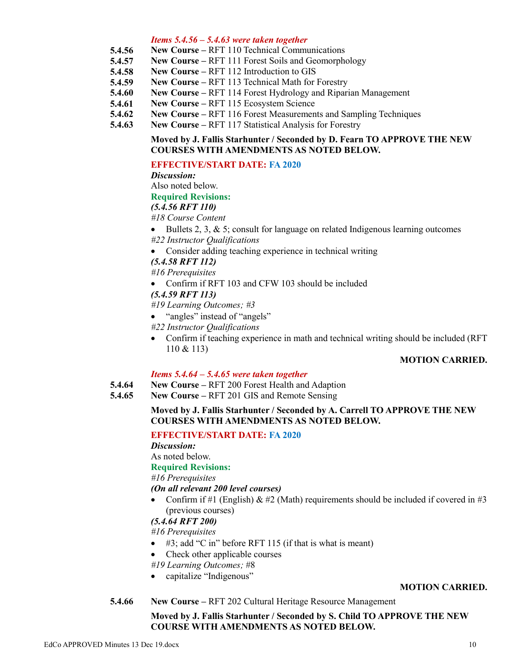#### *Items 5.4.56 – 5.4.63 were taken together*

- **5.4.56 New Course –** RFT 110 Technical Communications
- **5.4.57 New Course –** RFT 111 Forest Soils and Geomorphology
- **5.4.58 New Course –** RFT 112 Introduction to GIS
- **5.4.59 New Course –** RFT 113 Technical Math for Forestry
- **5.4.60 New Course –** RFT 114 Forest Hydrology and Riparian Management
- **5.4.61 New Course –** RFT 115 Ecosystem Science
- **5.4.62 New Course –** RFT 116 Forest Measurements and Sampling Techniques
- **5.4.63 New Course –** RFT 117 Statistical Analysis for Forestry

## **Moved by J. Fallis Starhunter / Seconded by D. Fearn TO APPROVE THE NEW COURSES WITH AMENDMENTS AS NOTED BELOW.**

## **EFFECTIVE/START DATE: FA 2020**

*Discussion:*

Also noted below.

#### **Required Revisions:**

## *(5.4.56 RFT 110)*

- *#18 Course Content*
- $\bullet$  Bullets 2, 3, & 5; consult for language on related Indigenous learning outcomes

*#22 Instructor Qualifications*

- Consider adding teaching experience in technical writing
- *(5.4.58 RFT 112)*

*#16 Prerequisites*

• Confirm if RFT 103 and CFW 103 should be included

*(5.4.59 RFT 113)*

*#19 Learning Outcomes; #3*

- "angles" instead of "angels"
- *#22 Instructor Qualifications*
- Confirm if teaching experience in math and technical writing should be included (RFT 110 & 113)

## **MOTION CARRIED.**

## *Items 5.4.64 – 5.4.65 were taken together*

- **5.4.64 New Course –** RFT 200 Forest Health and Adaption
- **5.4.65 New Course –** RFT 201 GIS and Remote Sensing

## **Moved by J. Fallis Starhunter / Seconded by A. Carrell TO APPROVE THE NEW COURSES WITH AMENDMENTS AS NOTED BELOW.**

## **EFFECTIVE/START DATE: FA 2020**

*Discussion:*

As noted below.

## **Required Revisions:**

*#16 Prerequisites*

*(On all relevant 200 level courses)*

Confirm if #1 (English)  $\&$  #2 (Math) requirements should be included if covered in #3 (previous courses)

## *(5.4.64 RFT 200)*

*#16 Prerequisites*

- $\bullet$  #3; add "C in" before RFT 115 (if that is what is meant)
- Check other applicable courses

*#19 Learning Outcomes;* #8

• capitalize "Indigenous"

#### **MOTION CARRIED.**

**5.4.66 New Course –** RFT 202 Cultural Heritage Resource Management

## **Moved by J. Fallis Starhunter / Seconded by S. Child TO APPROVE THE NEW COURSE WITH AMENDMENTS AS NOTED BELOW.**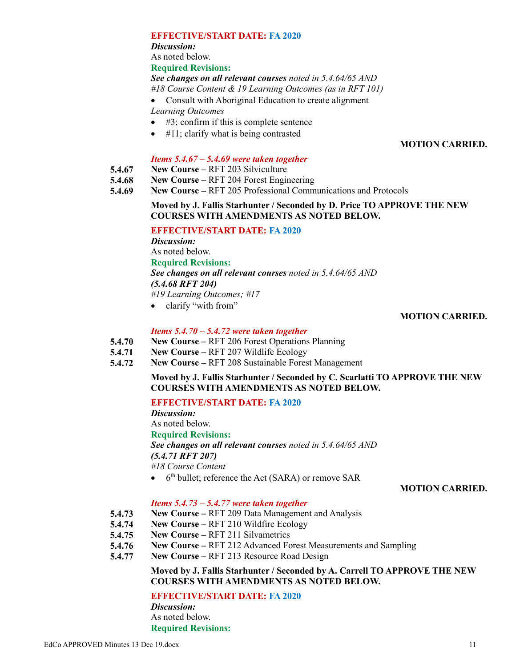#### **EFFECTIVE/START DATE: FA 2020**

*Discussion:*

As noted below.

**Required Revisions:**

#### *See changes on all relevant courses noted in 5.4.64/65 AND*

- *#18 Course Content & 19 Learning Outcomes (as in RFT 101)*
- Consult with Aboriginal Education to create alignment

*Learning Outcomes*

- $\bullet$  #3; confirm if this is complete sentence
- $\bullet$  #11; clarify what is being contrasted

## **MOTION CARRIED.**

## *Items 5.4.67 – 5.4.69 were taken together*

- **5.4.67 New Course –** RFT 203 Silviculture
- **5.4.68 New Course –** RFT 204 Forest Engineering
- **5.4.69 New Course –** RFT 205 Professional Communications and Protocols

## **Moved by J. Fallis Starhunter / Seconded by D. Price TO APPROVE THE NEW COURSES WITH AMENDMENTS AS NOTED BELOW.**

## **EFFECTIVE/START DATE: FA 2020**

*Discussion:* As noted below. **Required Revisions:** *See changes on all relevant courses noted in 5.4.64/65 AND (5.4.68 RFT 204) #19 Learning Outcomes; #17*

• clarify "with from"

## **MOTION CARRIED.**

## *Items 5.4.70 – 5.4.72 were taken together*

- **5.4.70 New Course –** RFT 206 Forest Operations Planning
- **5.4.71 New Course –** RFT 207 Wildlife Ecology
- **5.4.72 New Course –** RFT 208 Sustainable Forest Management

## **Moved by J. Fallis Starhunter / Seconded by C. Scarlatti TO APPROVE THE NEW COURSES WITH AMENDMENTS AS NOTED BELOW.**

## **EFFECTIVE/START DATE: FA 2020**

*Discussion:*

As noted below.

## **Required Revisions:**

*See changes on all relevant courses noted in 5.4.64/65 AND*

*(5.4.71 RFT 207)*

*#18 Course Content*

• 6<sup>th</sup> bullet; reference the Act (SARA) or remove SAR

## **MOTION CARRIED.**

## *Items 5.4.73 – 5.4.77 were taken together*

- **5.4.73 New Course –** RFT 209 Data Management and Analysis
- **5.4.74 New Course –** RFT 210 Wildfire Ecology
- **5.4.75 New Course –** RFT 211 Silvametrics
- **5.4.76 New Course –** RFT 212 Advanced Forest Measurements and Sampling
- **5.4.77 New Course –** RFT 213 Resource Road Design

## **Moved by J. Fallis Starhunter / Seconded by A. Carrell TO APPROVE THE NEW COURSES WITH AMENDMENTS AS NOTED BELOW.**

**EFFECTIVE/START DATE: FA 2020**

*Discussion:* As noted below. **Required Revisions:**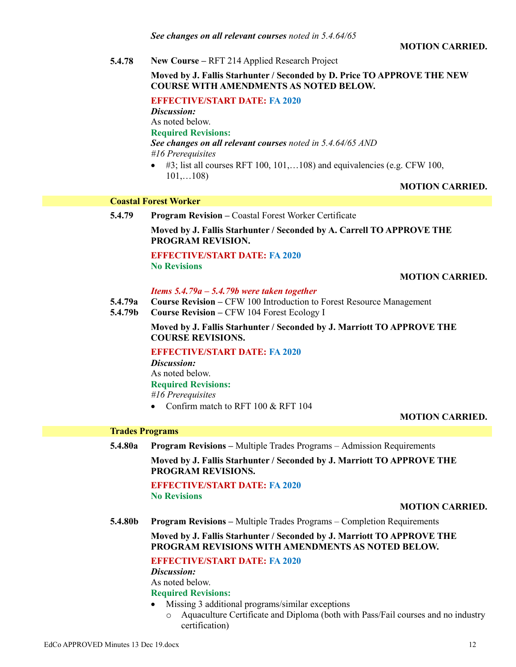#### **MOTION CARRIED.**

**5.4.78 New Course –** RFT 214 Applied Research Project

#### **Moved by J. Fallis Starhunter / Seconded by D. Price TO APPROVE THE NEW COURSE WITH AMENDMENTS AS NOTED BELOW.**

**EFFECTIVE/START DATE: FA 2020**

*Discussion:*

As noted below.

#### **Required Revisions:**

*See changes on all relevant courses noted in 5.4.64/65 AND #16 Prerequisites*

 $\bullet$  #3; list all courses RFT 100, 101,...108) and equivalencies (e.g. CFW 100, 101,…108)

#### **MOTION CARRIED.**

#### **Coastal Forest Worker**

**5.4.79 Program Revision –** Coastal Forest Worker Certificate **Moved by J. Fallis Starhunter / Seconded by A. Carrell TO APPROVE THE PROGRAM REVISION.**

> **EFFECTIVE/START DATE: FA 2020 No Revisions**

#### **MOTION CARRIED.**

#### *Items 5.4.79a – 5.4.79b were taken together*

- **5.4.79a Course Revision –** CFW 100 Introduction to Forest Resource Management
- **5.4.79b Course Revision –** CFW 104 Forest Ecology I

**Moved by J. Fallis Starhunter / Seconded by J. Marriott TO APPROVE THE COURSE REVISIONS.**

#### **EFFECTIVE/START DATE: FA 2020**

*Discussion:* As noted below. **Required Revisions:** *#16 Prerequisites*

• Confirm match to RFT 100 & RFT 104

## **MOTION CARRIED.**

## **Trades Programs**

**5.4.80a Program Revisions –** Multiple Trades Programs – Admission Requirements

**Moved by J. Fallis Starhunter / Seconded by J. Marriott TO APPROVE THE PROGRAM REVISIONS.**

## **EFFECTIVE/START DATE: FA 2020 No Revisions**

#### **MOTION CARRIED.**

**5.4.80b Program Revisions –** Multiple Trades Programs – Completion Requirements

**Moved by J. Fallis Starhunter / Seconded by J. Marriott TO APPROVE THE PROGRAM REVISIONS WITH AMENDMENTS AS NOTED BELOW.**

## **EFFECTIVE/START DATE: FA 2020**

*Discussion:* As noted below.

## **Required Revisions:**

- Missing 3 additional programs/similar exceptions
	- o Aquaculture Certificate and Diploma (both with Pass/Fail courses and no industry certification)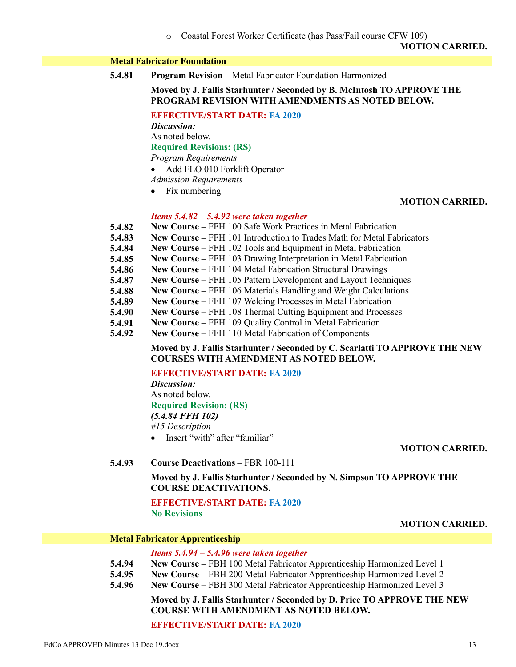o Coastal Forest Worker Certificate (has Pass/Fail course CFW 109)

**MOTION CARRIED.**

## **Metal Fabricator Foundation**

**5.4.81 Program Revision –** Metal Fabricator Foundation Harmonized

#### **Moved by J. Fallis Starhunter / Seconded by B. McIntosh TO APPROVE THE PROGRAM REVISION WITH AMENDMENTS AS NOTED BELOW.**

**EFFECTIVE/START DATE: FA 2020**

*Discussion:*

As noted below.

**Required Revisions: (RS)**

*Program Requirements*

- Add FLO 010 Forklift Operator
- *Admission Requirements*
- Fix numbering

## **MOTION CARRIED.**

#### *Items 5.4.82 – 5.4.92 were taken together*

- **5.4.82 New Course –** FFH 100 Safe Work Practices in Metal Fabrication
- **5.4.83 New Course –** FFH 101 Introduction to Trades Math for Metal Fabricators
- **5.4.84 New Course –** FFH 102 Tools and Equipment in Metal Fabrication
- **5.4.85 New Course –** FFH 103 Drawing Interpretation in Metal Fabrication
- **5.4.86 New Course –** FFH 104 Metal Fabrication Structural Drawings
- **5.4.87 New Course –** FFH 105 Pattern Development and Layout Techniques
- **5.4.88 New Course –** FFH 106 Materials Handling and Weight Calculations
- **5.4.89 New Course –** FFH 107 Welding Processes in Metal Fabrication
- **5.4.90 New Course –** FFH 108 Thermal Cutting Equipment and Processes
- **5.4.91 New Course –** FFH 109 Quality Control in Metal Fabrication
- **5.4.92 New Course –** FFH 110 Metal Fabrication of Components

## **Moved by J. Fallis Starhunter / Seconded by C. Scarlatti TO APPROVE THE NEW COURSES WITH AMENDMENT AS NOTED BELOW.**

## **EFFECTIVE/START DATE: FA 2020**

*Discussion:* As noted below. **Required Revision: (RS)** *(5.4.84 FFH 102) #15 Description*

• Insert "with" after "familiar"

**MOTION CARRIED.**

**5.4.93 Course Deactivations –** FBR 100-111

**Moved by J. Fallis Starhunter / Seconded by N. Simpson TO APPROVE THE COURSE DEACTIVATIONS.**

**EFFECTIVE/START DATE: FA 2020 No Revisions**

## **MOTION CARRIED.**

#### **Metal Fabricator Apprenticeship**

#### *Items 5.4.94 – 5.4.96 were taken together*

- **5.4.94 New Course –** FBH 100 Metal Fabricator Apprenticeship Harmonized Level 1
- **5.4.95 New Course –** FBH 200 Metal Fabricator Apprenticeship Harmonized Level 2
- **5.4.96 New Course –** FBH 300 Metal Fabricator Apprenticeship Harmonized Level 3

**Moved by J. Fallis Starhunter / Seconded by D. Price TO APPROVE THE NEW COURSE WITH AMENDMENT AS NOTED BELOW.**

**EFFECTIVE/START DATE: FA 2020**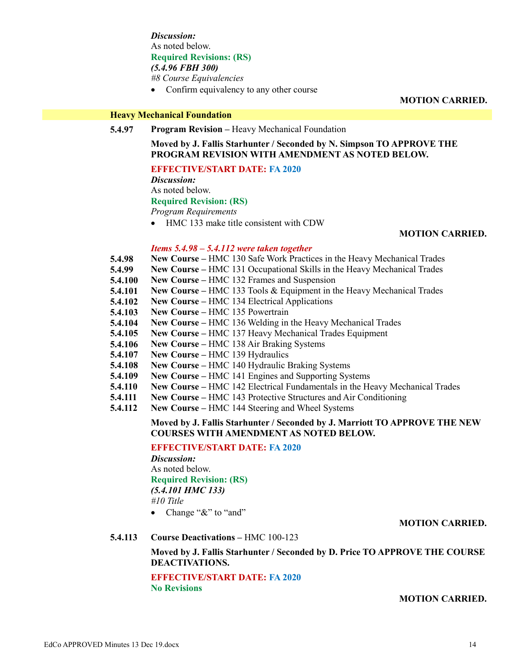*Discussion:* As noted below. **Required Revisions: (RS)** *(5.4.96 FBH 300) #8 Course Equivalencies*

• Confirm equivalency to any other course

**MOTION CARRIED.**

#### **Heavy Mechanical Foundation**

**5.4.97 Program Revision –** Heavy Mechanical Foundation

**Moved by J. Fallis Starhunter / Seconded by N. Simpson TO APPROVE THE PROGRAM REVISION WITH AMENDMENT AS NOTED BELOW.**

#### **EFFECTIVE/START DATE: FA 2020**

*Discussion:*

As noted below.

#### **Required Revision: (RS)**

*Program Requirements*

• HMC 133 make title consistent with CDW

#### **MOTION CARRIED.**

#### *Items 5.4.98 – 5.4.112 were taken together*

- **5.4.98 New Course –** HMC 130 Safe Work Practices in the Heavy Mechanical Trades
- **5.4.99 New Course –** HMC 131 Occupational Skills in the Heavy Mechanical Trades
- **5.4.100 New Course –** HMC 132 Frames and Suspension
- **5.4.101 New Course –** HMC 133 Tools & Equipment in the Heavy Mechanical Trades
- **5.4.102 New Course –** HMC 134 Electrical Applications
- **5.4.103 New Course –** HMC 135 Powertrain
- **5.4.104 New Course –** HMC 136 Welding in the Heavy Mechanical Trades
- **5.4.105 New Course –** HMC 137 Heavy Mechanical Trades Equipment
- **5.4.106 New Course –** HMC 138 Air Braking Systems
- **5.4.107 New Course –** HMC 139 Hydraulics
- **5.4.108 New Course –** HMC 140 Hydraulic Braking Systems
- **5.4.109 New Course –** HMC 141 Engines and Supporting Systems
- **5.4.110 New Course –** HMC 142 Electrical Fundamentals in the Heavy Mechanical Trades
- **5.4.111 New Course –** HMC 143 Protective Structures and Air Conditioning
- **5.4.112 New Course –** HMC 144 Steering and Wheel Systems

#### **Moved by J. Fallis Starhunter / Seconded by J. Marriott TO APPROVE THE NEW COURSES WITH AMENDMENT AS NOTED BELOW.**

**EFFECTIVE/START DATE: FA 2020**

*Discussion:* As noted below. **Required Revision: (RS)** *(5.4.101 HMC 133) #10 Title*

• Change "&" to "and"

#### **MOTION CARRIED.**

**5.4.113 Course Deactivations –** HMC 100-123

**Moved by J. Fallis Starhunter / Seconded by D. Price TO APPROVE THE COURSE DEACTIVATIONS.**

**EFFECTIVE/START DATE: FA 2020 No Revisions**

**MOTION CARRIED.**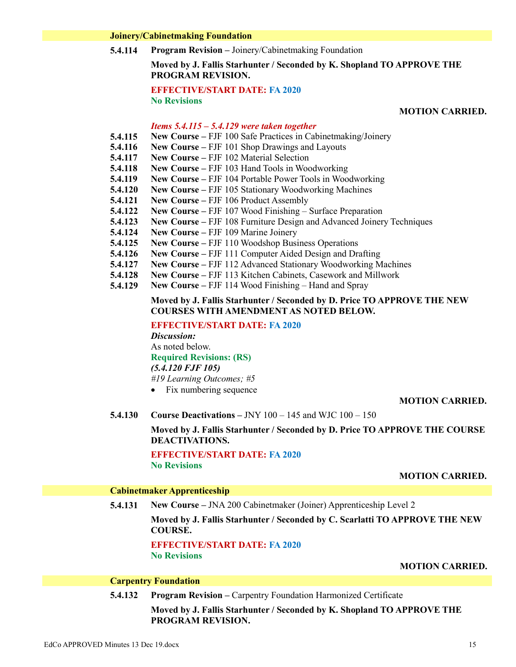#### **Joinery/Cabinetmaking Foundation**

**5.4.114 Program Revision –** Joinery/Cabinetmaking Foundation

## **Moved by J. Fallis Starhunter / Seconded by K. Shopland TO APPROVE THE PROGRAM REVISION.**

## **EFFECTIVE/START DATE: FA 2020 No Revisions**

## **MOTION CARRIED.**

#### *Items 5.4.115 – 5.4.129 were taken together*

- **5.4.115 New Course –** FJF 100 Safe Practices in Cabinetmaking/Joinery
- **5.4.116 New Course –** FJF 101 Shop Drawings and Layouts
- **5.4.117 New Course –** FJF 102 Material Selection
- **5.4.118 New Course –** FJF 103 Hand Tools in Woodworking
- **5.4.119 New Course –** FJF 104 Portable Power Tools in Woodworking
- **5.4.120 New Course –** FJF 105 Stationary Woodworking Machines
- **5.4.121 New Course –** FJF 106 Product Assembly
- **5.4.122 New Course –** FJF 107 Wood Finishing – Surface Preparation
- **5.4.123 New Course –** FJF 108 Furniture Design and Advanced Joinery Techniques
- **5.4.124 New Course –** FJF 109 Marine Joinery
- **5.4.125 New Course –** FJF 110 Woodshop Business Operations
- **5.4.126 New Course –** FJF 111 Computer Aided Design and Drafting
- **5.4.127 New Course –** FJF 112 Advanced Stationary Woodworking Machines
- **5.4.128 New Course –** FJF 113 Kitchen Cabinets, Casework and Millwork
- **5.4.129 New Course –** FJF 114 Wood Finishing – Hand and Spray

#### **Moved by J. Fallis Starhunter / Seconded by D. Price TO APPROVE THE NEW COURSES WITH AMENDMENT AS NOTED BELOW.**

**EFFECTIVE/START DATE: FA 2020**

*Discussion:* As noted below. **Required Revisions: (RS)** *(5.4.120 FJF 105) #19 Learning Outcomes; #5*

• Fix numbering sequence

#### **MOTION CARRIED.**

**5.4.130 Course Deactivations –** JNY 100 – 145 and WJC 100 – 150

**Moved by J. Fallis Starhunter / Seconded by D. Price TO APPROVE THE COURSE DEACTIVATIONS.**

**EFFECTIVE/START DATE: FA 2020 No Revisions**

#### **MOTION CARRIED.**

#### **Cabinetmaker Apprenticeship**

**5.4.131 New Course –** JNA 200 Cabinetmaker (Joiner) Apprenticeship Level 2

**Moved by J. Fallis Starhunter / Seconded by C. Scarlatti TO APPROVE THE NEW COURSE.**

**EFFECTIVE/START DATE: FA 2020 No Revisions**

#### **MOTION CARRIED.**

#### **Carpentry Foundation**

**5.4.132 Program Revision –** Carpentry Foundation Harmonized Certificate

**Moved by J. Fallis Starhunter / Seconded by K. Shopland TO APPROVE THE PROGRAM REVISION.**